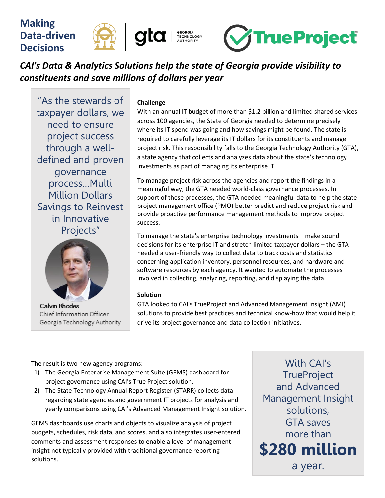

# *CAI's Data & Analytics Solutions help the state of Georgia provide visibility to constituents and save millions of dollars per year*

"As the stewards of taxpayer dollars, we need to ensure project success through a welldefined and proven governance process…Multi Million Dollars Savings to Reinvest in Innovative Projects"



**Calvin Rhodes** Chief Information Officer Georgia Technology Authority

#### **Challenge**

With an annual IT budget of more than \$1.2 billion and limited shared services across 100 agencies, the State of Georgia needed to determine precisely where its IT spend was going and how savings might be found. The state is required to carefully leverage its IT dollars for its constituents and manage project risk. This responsibility falls to the Georgia Technology Authority (GTA), a state agency that collects and analyzes data about the state's technology investments as part of managing its enterprise IT.

To manage project risk across the agencies and report the findings in a meaningful way, the GTA needed world-class governance processes. In support of these processes, the GTA needed meaningful data to help the state project management office (PMO) better predict and reduce project risk and provide proactive performance management methods to improve project success.

To manage the state's enterprise technology investments – make sound decisions for its enterprise IT and stretch limited taxpayer dollars – the GTA needed a user-friendly way to collect data to track costs and statistics concerning application inventory, personnel resources, and hardware and software resources by each agency. It wanted to automate the processes involved in collecting, analyzing, reporting, and displaying the data.

## **Solution**

GTA looked to CAI's TrueProject and Advanced Management Insight (AMI) solutions to provide best practices and technical know-how that would help it drive its project governance and data collection initiatives.

The result is two new agency programs:

- 1) The Georgia Enterprise Management Suite (GEMS) dashboard for project governance using CAI's True Project solution.
- 2) The State Technology Annual Report Register (STARR) collects data regarding state agencies and government IT projects for analysis and yearly comparisons using CAI's Advanced Management Insight solution.

GEMS dashboards use charts and objects to visualize analysis of project budgets, schedules, risk data, and scores, and also integrates user-entered comments and assessment responses to enable a level of management insight not typically provided with traditional governance reporting solutions.

With CAI's **TrueProject** and Advanced Management Insight solutions, GTA saves more than **\$280 million** a year.